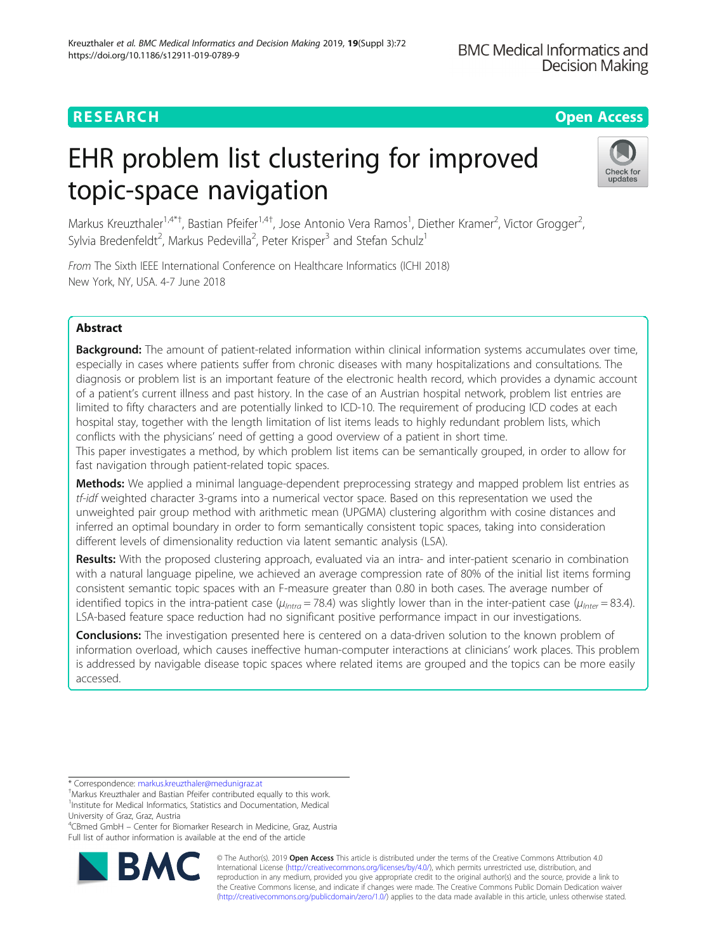## RESEARCH **RESEARCH CONSUMING THE CONSUMING THE CONSUMING THE CONSUMING TEAM Open Access**

# EHR problem list clustering for improved topic-space navigation



Markus Kreuzthaler<sup>1,4\*†</sup>, Bastian Pfeifer<sup>1,4†</sup>, Jose Antonio Vera Ramos<sup>1</sup>, Diether Kramer<sup>2</sup>, Victor Grogger<sup>2</sup> , Sylvia Bredenfeldt<sup>2</sup>, Markus Pedevilla<sup>2</sup>, Peter Krisper<sup>3</sup> and Stefan Schulz<sup>1</sup>

From The Sixth IEEE International Conference on Healthcare Informatics (ICHI 2018) New York, NY, USA. 4-7 June 2018

## Abstract

Background: The amount of patient-related information within clinical information systems accumulates over time, especially in cases where patients suffer from chronic diseases with many hospitalizations and consultations. The diagnosis or problem list is an important feature of the electronic health record, which provides a dynamic account of a patient's current illness and past history. In the case of an Austrian hospital network, problem list entries are limited to fifty characters and are potentially linked to ICD-10. The requirement of producing ICD codes at each hospital stay, together with the length limitation of list items leads to highly redundant problem lists, which conflicts with the physicians' need of getting a good overview of a patient in short time.

This paper investigates a method, by which problem list items can be semantically grouped, in order to allow for fast navigation through patient-related topic spaces.

Methods: We applied a minimal language-dependent preprocessing strategy and mapped problem list entries as tf-idf weighted character 3-grams into a numerical vector space. Based on this representation we used the unweighted pair group method with arithmetic mean (UPGMA) clustering algorithm with cosine distances and inferred an optimal boundary in order to form semantically consistent topic spaces, taking into consideration different levels of dimensionality reduction via latent semantic analysis (LSA).

Results: With the proposed clustering approach, evaluated via an intra- and inter-patient scenario in combination with a natural language pipeline, we achieved an average compression rate of 80% of the initial list items forming consistent semantic topic spaces with an F-measure greater than 0.80 in both cases. The average number of identified topics in the intra-patient case ( $\mu_{intra}$  = 78.4) was slightly lower than in the inter-patient case ( $\mu_{inter}$  = 83.4). LSA-based feature space reduction had no significant positive performance impact in our investigations.

**Conclusions:** The investigation presented here is centered on a data-driven solution to the known problem of information overload, which causes ineffective human-computer interactions at clinicians' work places. This problem is addressed by navigable disease topic spaces where related items are grouped and the topics can be more easily accessed.

4 CBmed GmbH – Center for Biomarker Research in Medicine, Graz, Austria Full list of author information is available at the end of the article



© The Author(s). 2019 **Open Access** This article is distributed under the terms of the Creative Commons Attribution 4.0 International License [\(http://creativecommons.org/licenses/by/4.0/](http://creativecommons.org/licenses/by/4.0/)), which permits unrestricted use, distribution, and reproduction in any medium, provided you give appropriate credit to the original author(s) and the source, provide a link to the Creative Commons license, and indicate if changes were made. The Creative Commons Public Domain Dedication waiver [\(http://creativecommons.org/publicdomain/zero/1.0/](http://creativecommons.org/publicdomain/zero/1.0/)) applies to the data made available in this article, unless otherwise stated.

<sup>\*</sup> Correspondence: [markus.kreuzthaler@medunigraz.at](mailto:markus.kreuzthaler@medunigraz.at) †

Markus Kreuzthaler and Bastian Pfeifer contributed equally to this work. <sup>1</sup>Institute for Medical Informatics, Statistics and Documentation, Medical University of Graz, Graz, Austria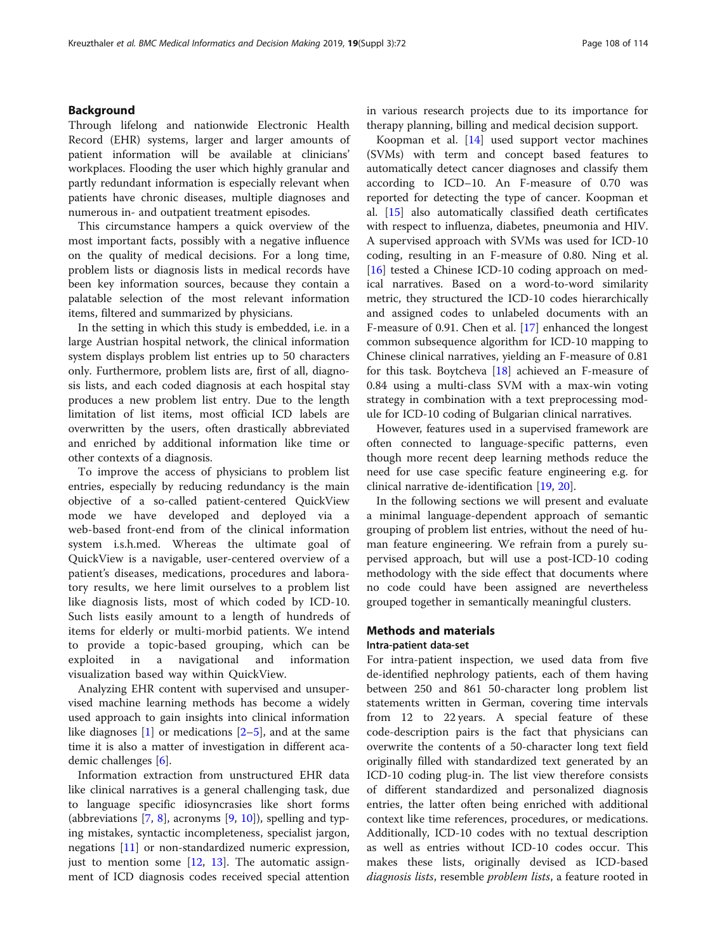#### Background

Through lifelong and nationwide Electronic Health Record (EHR) systems, larger and larger amounts of patient information will be available at clinicians' workplaces. Flooding the user which highly granular and partly redundant information is especially relevant when patients have chronic diseases, multiple diagnoses and numerous in- and outpatient treatment episodes.

This circumstance hampers a quick overview of the most important facts, possibly with a negative influence on the quality of medical decisions. For a long time, problem lists or diagnosis lists in medical records have been key information sources, because they contain a palatable selection of the most relevant information items, filtered and summarized by physicians.

In the setting in which this study is embedded, i.e. in a large Austrian hospital network, the clinical information system displays problem list entries up to 50 characters only. Furthermore, problem lists are, first of all, diagnosis lists, and each coded diagnosis at each hospital stay produces a new problem list entry. Due to the length limitation of list items, most official ICD labels are overwritten by the users, often drastically abbreviated and enriched by additional information like time or other contexts of a diagnosis.

To improve the access of physicians to problem list entries, especially by reducing redundancy is the main objective of a so-called patient-centered QuickView mode we have developed and deployed via a web-based front-end from of the clinical information system i.s.h.med. Whereas the ultimate goal of QuickView is a navigable, user-centered overview of a patient's diseases, medications, procedures and laboratory results, we here limit ourselves to a problem list like diagnosis lists, most of which coded by ICD-10. Such lists easily amount to a length of hundreds of items for elderly or multi-morbid patients. We intend to provide a topic-based grouping, which can be exploited in a navigational and information visualization based way within QuickView.

Analyzing EHR content with supervised and unsupervised machine learning methods has become a widely used approach to gain insights into clinical information like diagnoses  $[1]$  $[1]$  or medications  $[2-5]$  $[2-5]$  $[2-5]$  $[2-5]$  $[2-5]$ , and at the same time it is also a matter of investigation in different academic challenges [\[6](#page-6-0)].

Information extraction from unstructured EHR data like clinical narratives is a general challenging task, due to language specific idiosyncrasies like short forms (abbreviations [[7](#page-7-0), [8\]](#page-7-0), acronyms [[9,](#page-7-0) [10\]](#page-7-0)), spelling and typing mistakes, syntactic incompleteness, specialist jargon, negations [[11\]](#page-7-0) or non-standardized numeric expression, just to mention some  $[12, 13]$  $[12, 13]$  $[12, 13]$  $[12, 13]$ . The automatic assignment of ICD diagnosis codes received special attention in various research projects due to its importance for therapy planning, billing and medical decision support.

Koopman et al. [\[14](#page-7-0)] used support vector machines (SVMs) with term and concept based features to automatically detect cancer diagnoses and classify them according to ICD–10. An F-measure of 0.70 was reported for detecting the type of cancer. Koopman et al. [[15\]](#page-7-0) also automatically classified death certificates with respect to influenza, diabetes, pneumonia and HIV. A supervised approach with SVMs was used for ICD-10 coding, resulting in an F-measure of 0.80. Ning et al. [[16\]](#page-7-0) tested a Chinese ICD-10 coding approach on medical narratives. Based on a word-to-word similarity metric, they structured the ICD-10 codes hierarchically and assigned codes to unlabeled documents with an F-measure of 0.91. Chen et al. [\[17\]](#page-7-0) enhanced the longest common subsequence algorithm for ICD-10 mapping to Chinese clinical narratives, yielding an F-measure of 0.81 for this task. Boytcheva [\[18\]](#page-7-0) achieved an F-measure of 0.84 using a multi-class SVM with a max-win voting strategy in combination with a text preprocessing module for ICD-10 coding of Bulgarian clinical narratives.

However, features used in a supervised framework are often connected to language-specific patterns, even though more recent deep learning methods reduce the need for use case specific feature engineering e.g. for clinical narrative de-identification [[19,](#page-7-0) [20](#page-7-0)].

In the following sections we will present and evaluate a minimal language-dependent approach of semantic grouping of problem list entries, without the need of human feature engineering. We refrain from a purely supervised approach, but will use a post-ICD-10 coding methodology with the side effect that documents where no code could have been assigned are nevertheless grouped together in semantically meaningful clusters.

#### Methods and materials

#### Intra-patient data-set

For intra-patient inspection, we used data from five de-identified nephrology patients, each of them having between 250 and 861 50-character long problem list statements written in German, covering time intervals from 12 to 22 years. A special feature of these code-description pairs is the fact that physicians can overwrite the contents of a 50-character long text field originally filled with standardized text generated by an ICD-10 coding plug-in. The list view therefore consists of different standardized and personalized diagnosis entries, the latter often being enriched with additional context like time references, procedures, or medications. Additionally, ICD-10 codes with no textual description as well as entries without ICD-10 codes occur. This makes these lists, originally devised as ICD-based diagnosis lists, resemble problem lists, a feature rooted in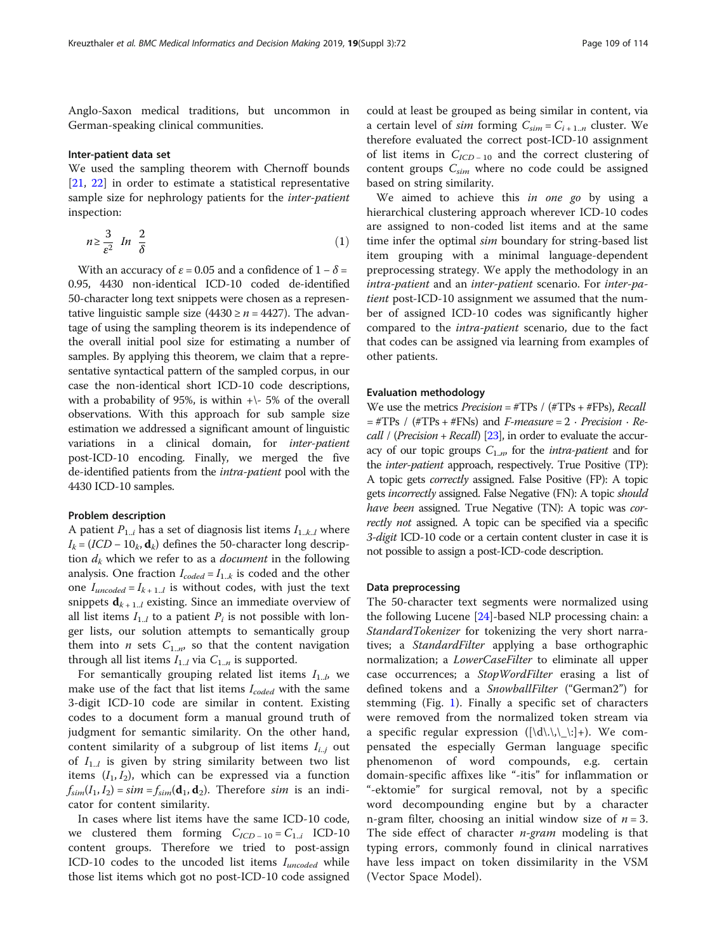Anglo-Saxon medical traditions, but uncommon in German-speaking clinical communities.

#### Inter-patient data set

We used the sampling theorem with Chernoff bounds [[21,](#page-7-0) [22\]](#page-7-0) in order to estimate a statistical representative sample size for nephrology patients for the inter-patient inspection:

$$
n \ge \frac{3}{\varepsilon^2} \ln \frac{2}{\delta} \tag{1}
$$

With an accuracy of  $\varepsilon = 0.05$  and a confidence of  $1 - \delta =$ 0.95, 4430 non-identical ICD-10 coded de-identified 50-character long text snippets were chosen as a representative linguistic sample size (4430  $\geq n = 4427$ ). The advantage of using the sampling theorem is its independence of the overall initial pool size for estimating a number of samples. By applying this theorem, we claim that a representative syntactical pattern of the sampled corpus, in our case the non-identical short ICD-10 code descriptions, with a probability of 95%, is within  $+\$ - 5% of the overall observations. With this approach for sub sample size estimation we addressed a significant amount of linguistic variations in a clinical domain, for inter-patient post-ICD-10 encoding. Finally, we merged the five de-identified patients from the intra-patient pool with the 4430 ICD-10 samples.

#### Problem description

A patient  $P_{1,i}$  has a set of diagnosis list items  $I_{1,k,l}$  where  $I_k = (ICD - 10_k, \mathbf{d}_k)$  defines the 50-character long description  $d_k$  which we refer to as a *document* in the following analysis. One fraction  $I_{coded} = I_{1..k}$  is coded and the other one  $I_{uncoded} = I_{k+1..l}$  is without codes, with just the text snippets  $\mathbf{d}_{k+1}$  existing. Since an immediate overview of all list items  $I_{1,l}$  to a patient  $P_i$  is not possible with longer lists, our solution attempts to semantically group them into *n* sets  $C_{1,m}$  so that the content navigation through all list items  $I_{1..l}$  via  $C_{1..n}$  is supported.

For semantically grouping related list items  $I_{1..b}$ , we make use of the fact that list items  $I_{coded}$  with the same 3-digit ICD-10 code are similar in content. Existing codes to a document form a manual ground truth of judgment for semantic similarity. On the other hand, content similarity of a subgroup of list items  $I_{i,j}$  out of  $I_{1..l}$  is given by string similarity between two list items  $(I_1, I_2)$ , which can be expressed via a function  $f_{sim}(I_1, I_2) = sim = f_{sim}(\mathbf{d}_1, \mathbf{d}_2)$ . Therefore sim is an indicator for content similarity.

In cases where list items have the same ICD-10 code, we clustered them forming  $C_{ICD-10} = C_{1..i}$  ICD-10 content groups. Therefore we tried to post-assign ICD-10 codes to the uncoded list items  $I_{uncoded}$  while those list items which got no post-ICD-10 code assigned

could at least be grouped as being similar in content, via a certain level of *sim* forming  $C_{sim} = C_{i+1,n}$  cluster. We therefore evaluated the correct post-ICD-10 assignment of list items in  $C_{ICD-10}$  and the correct clustering of content groups  $C_{sim}$  where no code could be assigned based on string similarity.

We aimed to achieve this in one go by using a hierarchical clustering approach wherever ICD-10 codes are assigned to non-coded list items and at the same time infer the optimal sim boundary for string-based list item grouping with a minimal language-dependent preprocessing strategy. We apply the methodology in an intra-patient and an inter-patient scenario. For inter-patient post-ICD-10 assignment we assumed that the number of assigned ICD-10 codes was significantly higher compared to the intra-patient scenario, due to the fact that codes can be assigned via learning from examples of other patients.

#### Evaluation methodology

We use the metrics  $Precision = #TPs / #TPs + #FPs$ , Recall  $=$  #TPs / (#TPs + #FNs) and *F-measure* = 2 · *Precision* · *Re-*call / (Precision + Recall) [\[23](#page-7-0)], in order to evaluate the accuracy of our topic groups  $C_{1..n}$ , for the *intra-patient* and for the inter-patient approach, respectively. True Positive (TP): A topic gets correctly assigned. False Positive (FP): A topic gets incorrectly assigned. False Negative (FN): A topic should have been assigned. True Negative (TN): A topic was correctly not assigned. A topic can be specified via a specific 3-digit ICD-10 code or a certain content cluster in case it is not possible to assign a post-ICD-code description.

#### Data preprocessing

The 50-character text segments were normalized using the following Lucene [[24\]](#page-7-0)-based NLP processing chain: a StandardTokenizer for tokenizing the very short narratives; a StandardFilter applying a base orthographic normalization; a *LowerCaseFilter* to eliminate all upper case occurrences; a StopWordFilter erasing a list of defined tokens and a SnowballFilter ("German2") for stemming (Fig. [1\)](#page-3-0). Finally a specific set of characters were removed from the normalized token stream via a specific regular expression  $(|\d\ldots,\ldots|+|)$ . We compensated the especially German language specific phenomenon of word compounds, e.g. certain domain-specific affixes like "-itis" for inflammation or "-ektomie" for surgical removal, not by a specific word decompounding engine but by a character n-gram filter, choosing an initial window size of  $n = 3$ . The side effect of character *n-gram* modeling is that typing errors, commonly found in clinical narratives have less impact on token dissimilarity in the VSM (Vector Space Model).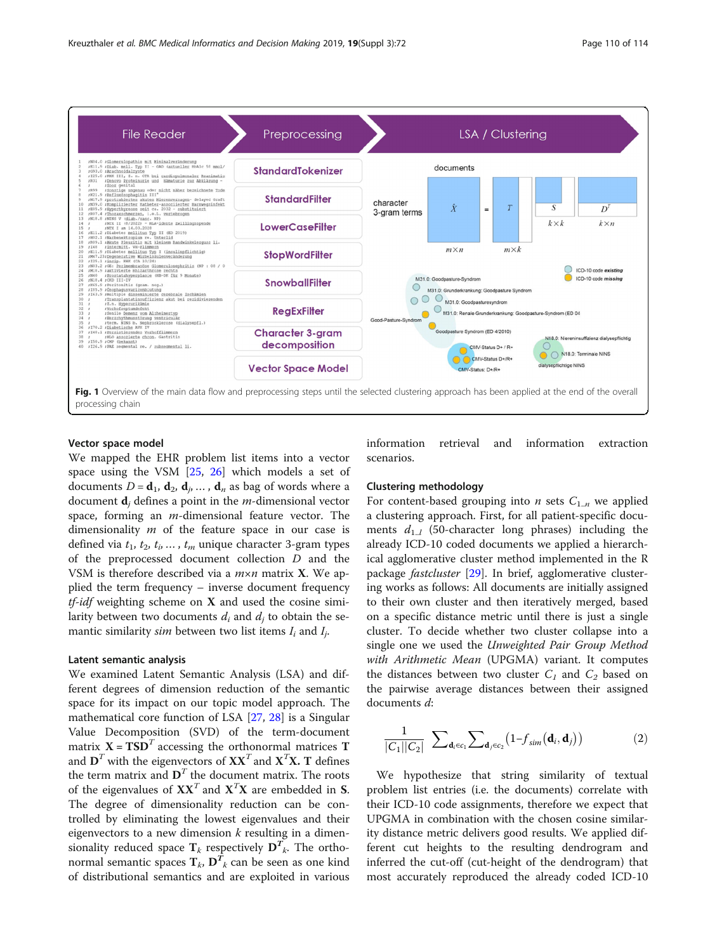<span id="page-3-0"></span>

#### Vector space model

We mapped the EHR problem list items into a vector space using the VSM [\[25](#page-7-0), [26](#page-7-0)] which models a set of documents  $D = \mathbf{d}_1, \mathbf{d}_2, \mathbf{d}_i, \dots, \mathbf{d}_n$  as bag of words where a document  $\mathbf{d}_i$ , defines a point in the *m*-dimensional vector space, forming an  $m$ -dimensional feature vector. The dimensionality  $m$  of the feature space in our case is defined via  $t_1$ ,  $t_2$ ,  $t_i$ , ...,  $t_m$  unique character 3-gram types of the preprocessed document collection D and the VSM is therefore described via a  $m \times n$  matrix **X**. We applied the term frequency – inverse document frequency  $tf-idf$  weighting scheme on  $X$  and used the cosine similarity between two documents  $d_i$  and  $d_j$  to obtain the semantic similarity *sim* between two list items  $I_i$  and  $I_i$ .

#### Latent semantic analysis

We examined Latent Semantic Analysis (LSA) and different degrees of dimension reduction of the semantic space for its impact on our topic model approach. The mathematical core function of LSA [\[27](#page-7-0), [28](#page-7-0)] is a Singular Value Decomposition (SVD) of the term-document matrix  $X = TSD<sup>T</sup>$  accessing the orthonormal matrices T and  $\mathbf{D}^T$  with the eigenvectors of  $\mathbf{X}\mathbf{X}^T$  and  $\mathbf{X}^T\mathbf{X}$ . T defines the term matrix and  $\mathbf{D}^T$  the document matrix. The roots of the eigenvalues of  $\mathbf{X} \mathbf{X}^T$  and  $\mathbf{X}^T \mathbf{X}$  are embedded in S. The degree of dimensionality reduction can be controlled by eliminating the lowest eigenvalues and their eigenvectors to a new dimension  $k$  resulting in a dimensionality reduced space  $T_k$  respectively  $D^T_{k}$ . The orthonormal semantic spaces  $\mathbf{T}_k$ ,  $\mathbf{D}^{\bar{T}}_k$  can be seen as one kind of distributional semantics and are exploited in various information retrieval and information extraction scenarios.

### Clustering methodology

For content-based grouping into *n* sets  $C_{1,n}$  we applied a clustering approach. First, for all patient-specific documents  $d_{1,l}$  (50-character long phrases) including the already ICD-10 coded documents we applied a hierarchical agglomerative cluster method implemented in the R package *fastcluster* [[29\]](#page-7-0). In brief, agglomerative clustering works as follows: All documents are initially assigned to their own cluster and then iteratively merged, based on a specific distance metric until there is just a single cluster. To decide whether two cluster collapse into a single one we used the Unweighted Pair Group Method with Arithmetic Mean (UPGMA) variant. It computes the distances between two cluster  $C_1$  and  $C_2$  based on the pairwise average distances between their assigned documents d:

$$
\frac{1}{|C_1||C_2|} \sum_{\mathbf{d}_i \in c_1} \sum_{\mathbf{d}_j \in c_2} \left(1 - f_{sim}(\mathbf{d}_i, \mathbf{d}_j)\right) \tag{2}
$$

We hypothesize that string similarity of textual problem list entries (i.e. the documents) correlate with their ICD-10 code assignments, therefore we expect that UPGMA in combination with the chosen cosine similarity distance metric delivers good results. We applied different cut heights to the resulting dendrogram and inferred the cut-off (cut-height of the dendrogram) that most accurately reproduced the already coded ICD-10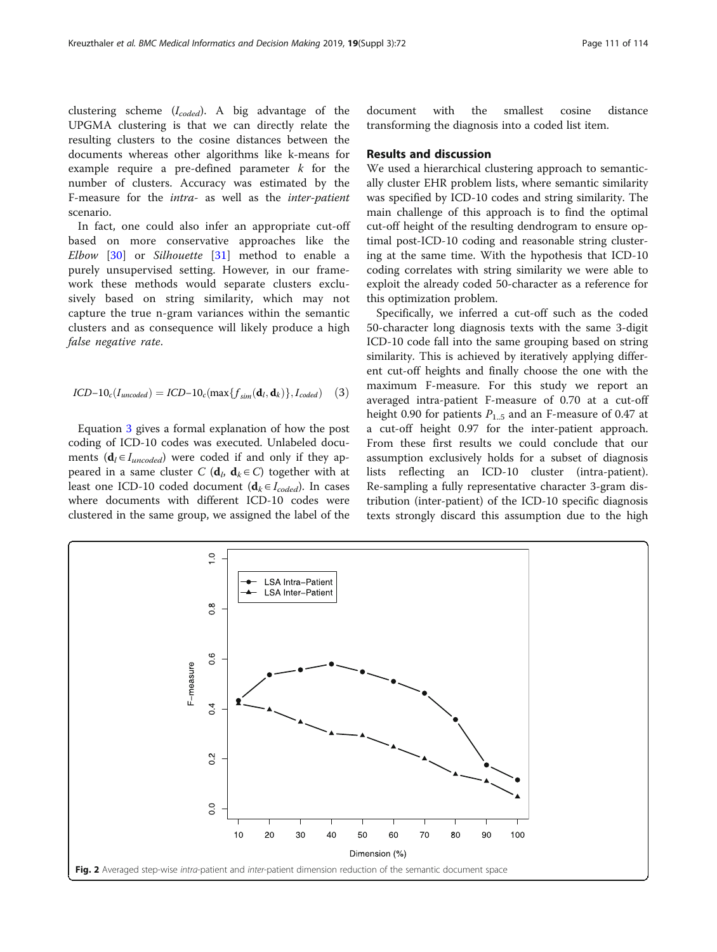<span id="page-4-0"></span>clustering scheme  $(I_{code})$ . A big advantage of the UPGMA clustering is that we can directly relate the resulting clusters to the cosine distances between the documents whereas other algorithms like k-means for example require a pre-defined parameter  $k$  for the number of clusters. Accuracy was estimated by the F-measure for the intra- as well as the inter-patient scenario.

In fact, one could also infer an appropriate cut-off based on more conservative approaches like the Elbow [[30\]](#page-7-0) or Silhouette [[31\]](#page-7-0) method to enable a purely unsupervised setting. However, in our framework these methods would separate clusters exclusively based on string similarity, which may not capture the true n-gram variances within the semantic clusters and as consequence will likely produce a high false negative rate.

$$
ICD-10_c(I_{uncoded}) = ICD-10_c(max{f_{sim}(\mathbf{d}_l, \mathbf{d}_k)}, I_{coded}) \quad (3)
$$

Equation 3 gives a formal explanation of how the post coding of ICD-10 codes was executed. Unlabeled documents ( $\mathbf{d}_l \in I_{uncoded}$ ) were coded if and only if they appeared in a same cluster C ( $d_i$ ,  $d_k \in C$ ) together with at least one ICD-10 coded document ( $\mathbf{d}_k \in I_{coded}$ ). In cases where documents with different ICD-10 codes were clustered in the same group, we assigned the label of the document with the smallest cosine distance transforming the diagnosis into a coded list item.

#### Results and discussion

We used a hierarchical clustering approach to semantically cluster EHR problem lists, where semantic similarity was specified by ICD-10 codes and string similarity. The main challenge of this approach is to find the optimal cut-off height of the resulting dendrogram to ensure optimal post-ICD-10 coding and reasonable string clustering at the same time. With the hypothesis that ICD-10 coding correlates with string similarity we were able to exploit the already coded 50-character as a reference for this optimization problem.

Specifically, we inferred a cut-off such as the coded 50-character long diagnosis texts with the same 3-digit ICD-10 code fall into the same grouping based on string similarity. This is achieved by iteratively applying different cut-off heights and finally choose the one with the maximum F-measure. For this study we report an averaged intra-patient F-measure of 0.70 at a cut-off height 0.90 for patients  $P_{1.5}$  and an F-measure of 0.47 at a cut-off height 0.97 for the inter-patient approach. From these first results we could conclude that our assumption exclusively holds for a subset of diagnosis lists reflecting an ICD-10 cluster (intra-patient). Re-sampling a fully representative character 3-gram distribution (inter-patient) of the ICD-10 specific diagnosis texts strongly discard this assumption due to the high

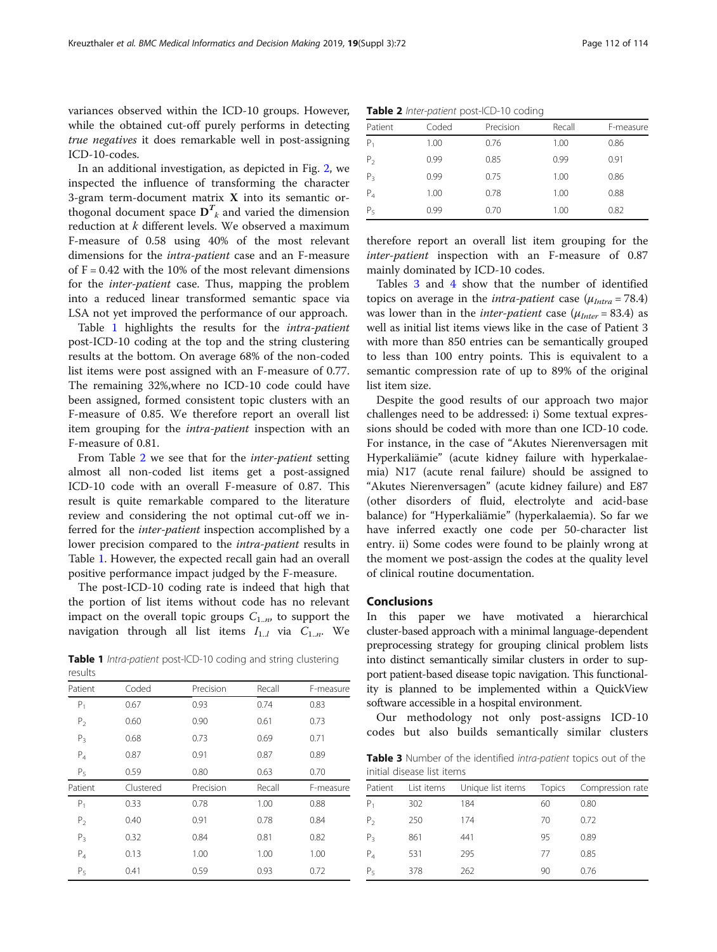variances observed within the ICD-10 groups. However, while the obtained cut-off purely performs in detecting true negatives it does remarkable well in post-assigning ICD-10-codes.

In an additional investigation, as depicted in Fig. [2,](#page-4-0) we inspected the influence of transforming the character 3-gram term-document matrix  $X$  into its semantic orthogonal document space  $\mathbf{D}^T_{\phantom{T}k}$  and varied the dimension reduction at k different levels. We observed a maximum F-measure of 0.58 using 40% of the most relevant dimensions for the intra-patient case and an F-measure of  $F = 0.42$  with the 10% of the most relevant dimensions for the inter-patient case. Thus, mapping the problem into a reduced linear transformed semantic space via LSA not yet improved the performance of our approach.

Table 1 highlights the results for the intra-patient post-ICD-10 coding at the top and the string clustering results at the bottom. On average 68% of the non-coded list items were post assigned with an F-measure of 0.77. The remaining 32%,where no ICD-10 code could have been assigned, formed consistent topic clusters with an F-measure of 0.85. We therefore report an overall list item grouping for the intra-patient inspection with an F-measure of 0.81.

From Table 2 we see that for the inter-patient setting almost all non-coded list items get a post-assigned ICD-10 code with an overall F-measure of 0.87. This result is quite remarkable compared to the literature review and considering the not optimal cut-off we inferred for the inter-patient inspection accomplished by a lower precision compared to the intra-patient results in Table 1. However, the expected recall gain had an overall positive performance impact judged by the F-measure.

The post-ICD-10 coding rate is indeed that high that the portion of list items without code has no relevant impact on the overall topic groups  $C_{1..n}$ , to support the navigation through all list items  $I_{1..l}$  via  $C_{1..n}$ . We

Table 1 Intra-patient post-ICD-10 coding and string clustering results

| Patient        | Coded     | Precision | Recall | F-measure |  |
|----------------|-----------|-----------|--------|-----------|--|
| $P_1$          | 0.67      | 0.93      | 0.74   | 0.83      |  |
| P <sub>2</sub> | 0.60      | 0.90      | 0.61   | 0.73      |  |
| $P_3$          | 0.68      | 0.73      | 0.69   | 0.71      |  |
| $P_4$          | 0.87      | 0.91      | 0.87   | 0.89      |  |
| P <sub>5</sub> | 0.59      | 0.80      | 0.63   | 0.70      |  |
| Patient        | Clustered | Precision | Recall | F-measure |  |
| $P_1$          | 0.33      | 0.78      | 1.00   | 0.88      |  |
| P <sub>2</sub> | 0.40      | 0.91      | 0.78   | 0.84      |  |
| $P_3$          | 0.32      | 0.84      | 0.81   | 0.82      |  |
| $P_4$          | 0.13      | 1.00      | 1.00   | 1.00      |  |
| $P_5$          | 0.41      | 0.59      | 0.93   | 0.72      |  |

|  | Table 2 Inter-patient post-ICD-10 coding |  |
|--|------------------------------------------|--|
|  |                                          |  |

| Patient        | Coded | Precision | Recall | F-measure |  |
|----------------|-------|-----------|--------|-----------|--|
| $P_1$          | 1.00  | 0.76      | 1.00   | 0.86      |  |
| P <sub>2</sub> | 0.99  | 0.85      | 0.99   | 0.91      |  |
| $P_3$          | 0.99  | 0.75      | 1.00   | 0.86      |  |
| $P_4$          | 1.00  | 0.78      | 1.00   | 0.88      |  |
| $P_5$          | 0.99  | 0.70      | 1.00   | 0.82      |  |

therefore report an overall list item grouping for the inter-patient inspection with an F-measure of 0.87 mainly dominated by ICD-10 codes.

Tables 3 and [4](#page-6-0) show that the number of identified topics on average in the *intra-patient* case ( $\mu_{Intra}$  = 78.4) was lower than in the *inter-patient* case  $(\mu_{\text{Inter}} = 83.4)$  as well as initial list items views like in the case of Patient 3 with more than 850 entries can be semantically grouped to less than 100 entry points. This is equivalent to a semantic compression rate of up to 89% of the original list item size.

Despite the good results of our approach two major challenges need to be addressed: i) Some textual expressions should be coded with more than one ICD-10 code. For instance, in the case of "Akutes Nierenversagen mit Hyperkaliämie" (acute kidney failure with hyperkalaemia) N17 (acute renal failure) should be assigned to "Akutes Nierenversagen" (acute kidney failure) and E87 (other disorders of fluid, electrolyte and acid-base balance) for "Hyperkaliämie" (hyperkalaemia). So far we have inferred exactly one code per 50-character list entry. ii) Some codes were found to be plainly wrong at the moment we post-assign the codes at the quality level of clinical routine documentation.

#### Conclusions

In this paper we have motivated a hierarchical cluster-based approach with a minimal language-dependent preprocessing strategy for grouping clinical problem lists into distinct semantically similar clusters in order to support patient-based disease topic navigation. This functionality is planned to be implemented within a QuickView software accessible in a hospital environment.

Our methodology not only post-assigns ICD-10 codes but also builds semantically similar clusters

Table 3 Number of the identified intra-patient topics out of the initial disease list items

| List items | Unique list items | Topics | Compression rate |
|------------|-------------------|--------|------------------|
| 302        | 184               | 60     | 0.80             |
| 250        | 174               | 70     | 0.72             |
| 861        | 441               | 95     | 0.89             |
| 531        | 295               | 77     | 0.85             |
| 378        | 262               | 90     | 0.76             |
|            |                   |        |                  |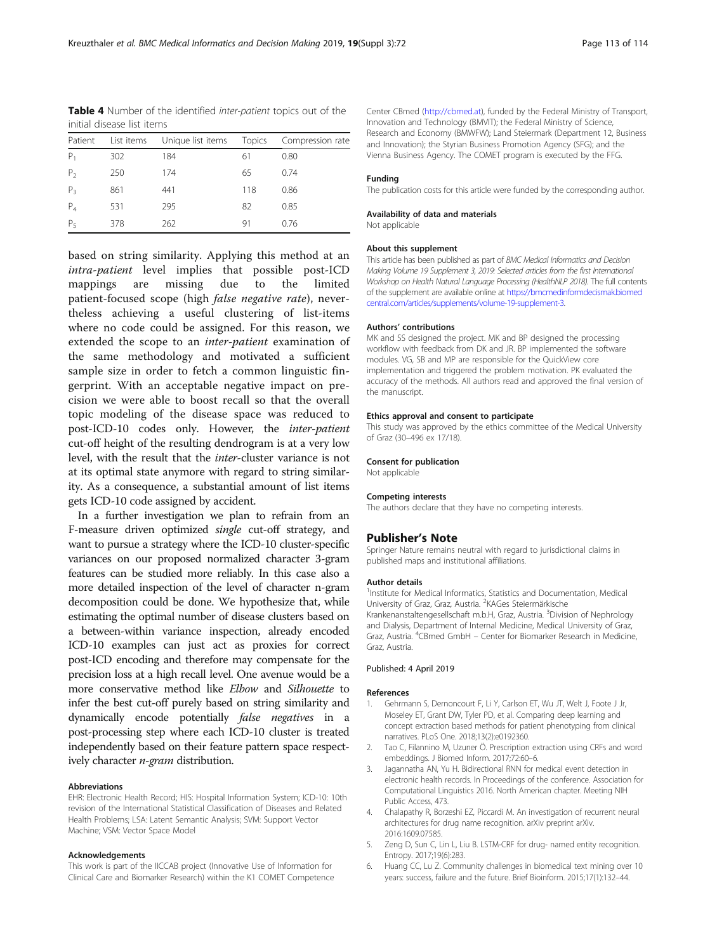<span id="page-6-0"></span>Table 4 Number of the identified inter-patient topics out of the initial disease list items

| Patient        | List items | Unique list items Topics |     | Compression rate |
|----------------|------------|--------------------------|-----|------------------|
| $P_1$          | 302        | 184                      | 61  | 0.80             |
| P <sub>2</sub> | 250        | 174                      | 65  | 0.74             |
| $P_3$          | 861        | 441                      | 118 | 0.86             |
| $P_4$          | 531        | 295                      | 82  | 0.85             |
| P <sub>5</sub> | 378        | 262                      | 91  | 0.76             |
|                |            |                          |     |                  |

based on string similarity. Applying this method at an intra-patient level implies that possible post-ICD mappings are missing due to the limited patient-focused scope (high *false negative rate*), nevertheless achieving a useful clustering of list-items where no code could be assigned. For this reason, we extended the scope to an inter-patient examination of the same methodology and motivated a sufficient sample size in order to fetch a common linguistic fingerprint. With an acceptable negative impact on precision we were able to boost recall so that the overall topic modeling of the disease space was reduced to post-ICD-10 codes only. However, the inter-patient cut-off height of the resulting dendrogram is at a very low level, with the result that the inter-cluster variance is not at its optimal state anymore with regard to string similarity. As a consequence, a substantial amount of list items gets ICD-10 code assigned by accident.

In a further investigation we plan to refrain from an F-measure driven optimized single cut-off strategy, and want to pursue a strategy where the ICD-10 cluster-specific variances on our proposed normalized character 3-gram features can be studied more reliably. In this case also a more detailed inspection of the level of character n-gram decomposition could be done. We hypothesize that, while estimating the optimal number of disease clusters based on a between-within variance inspection, already encoded ICD-10 examples can just act as proxies for correct post-ICD encoding and therefore may compensate for the precision loss at a high recall level. One avenue would be a more conservative method like Elbow and Silhouette to infer the best cut-off purely based on string similarity and dynamically encode potentially false negatives in a post-processing step where each ICD-10 cluster is treated independently based on their feature pattern space respectively character *n-gram* distribution.

#### Abbreviations

EHR: Electronic Health Record; HIS: Hospital Information System; ICD-10: 10th revision of the International Statistical Classification of Diseases and Related Health Problems; LSA: Latent Semantic Analysis; SVM: Support Vector Machine; VSM: Vector Space Model

#### Acknowledgements

This work is part of the IICCAB project (Innovative Use of Information for Clinical Care and Biomarker Research) within the K1 COMET Competence Center CBmed ([http://cbmed.at\)](http://cbmed.at), funded by the Federal Ministry of Transport, Innovation and Technology (BMVIT); the Federal Ministry of Science, Research and Economy (BMWFW); Land Steiermark (Department 12, Business and Innovation); the Styrian Business Promotion Agency (SFG); and the Vienna Business Agency. The COMET program is executed by the FFG.

#### Funding

The publication costs for this article were funded by the corresponding author.

#### Availability of data and materials

Not applicable

#### About this supplement

This article has been published as part of BMC Medical Informatics and Decision Making Volume 19 Supplement 3, 2019: Selected articles from the first International Workshop on Health Natural Language Processing (HealthNLP 2018). The full contents of the supplement are available online at [https://bmcmedinformdecismak.biomed](https://bmcmedinformdecismak.biomedcentral.com/articles/supplements/volume-19-supplement-3) [central.com/articles/supplements/volume-19-supplement-3.](https://bmcmedinformdecismak.biomedcentral.com/articles/supplements/volume-19-supplement-3)

#### Authors' contributions

MK and SS designed the project. MK and BP designed the processing workflow with feedback from DK and JR. BP implemented the software modules. VG, SB and MP are responsible for the QuickView core implementation and triggered the problem motivation. PK evaluated the accuracy of the methods. All authors read and approved the final version of the manuscript.

#### Ethics approval and consent to participate

This study was approved by the ethics committee of the Medical University of Graz (30–496 ex 17/18).

#### Consent for publication

Not applicable

#### Competing interests

The authors declare that they have no competing interests.

#### Publisher's Note

Springer Nature remains neutral with regard to jurisdictional claims in published maps and institutional affiliations.

#### Author details

<sup>1</sup>Institute for Medical Informatics, Statistics and Documentation, Medical University of Graz, Graz, Austria. <sup>2</sup>KAGes Steiermärkische Krankenanstaltengesellschaft m.b.H, Graz, Austria. <sup>3</sup>Division of Nephrology and Dialysis, Department of Internal Medicine, Medical University of Graz, Graz, Austria. <sup>4</sup>CBmed GmbH - Center for Biomarker Research in Medicine Graz, Austria.

#### Published: 4 April 2019

#### References

- 1. Gehrmann S, Dernoncourt F, Li Y, Carlson ET, Wu JT, Welt J, Foote J Jr, Moseley ET, Grant DW, Tyler PD, et al. Comparing deep learning and concept extraction based methods for patient phenotyping from clinical narratives. PLoS One. 2018;13(2):e0192360.
- 2. Tao C, Filannino M, Uzuner Ö. Prescription extraction using CRFs and word embeddings. J Biomed Inform. 2017;72:60–6.
- 3. Jagannatha AN, Yu H. Bidirectional RNN for medical event detection in electronic health records. In Proceedings of the conference. Association for Computational Linguistics 2016. North American chapter. Meeting NIH Public Access, 473.
- 4. Chalapathy R, Borzeshi EZ, Piccardi M. An investigation of recurrent neural architectures for drug name recognition. arXiv preprint arXiv. 2016:1609.07585.
- 5. Zeng D, Sun C, Lin L, Liu B. LSTM-CRF for drug- named entity recognition. Entropy. 2017;19(6):283.
- 6. Huang CC, Lu Z. Community challenges in biomedical text mining over 10 years: success, failure and the future. Brief Bioinform. 2015;17(1):132–44.